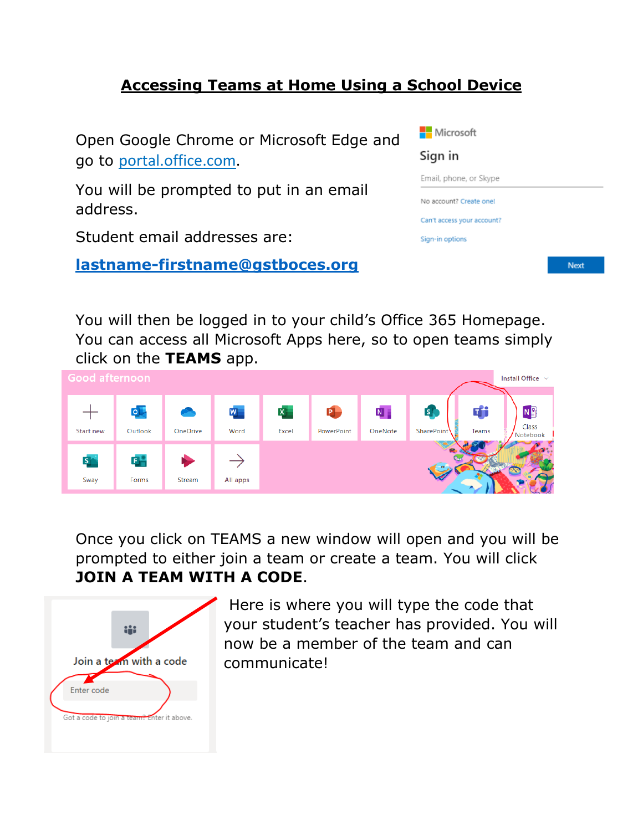## **Accessing Teams at Home Using a School Device**



You will then be logged in to your child's Office 365 Homepage. You can access all Microsoft Apps here, so to open teams simply click on the **TEAMS** app.



Once you click on TEAMS a new window will open and you will be prompted to either join a team or create a team. You will click **JOIN A TEAM WITH A CODE**.



Here is where you will type the code that your student's teacher has provided. You will now be a member of the team and can communicate!